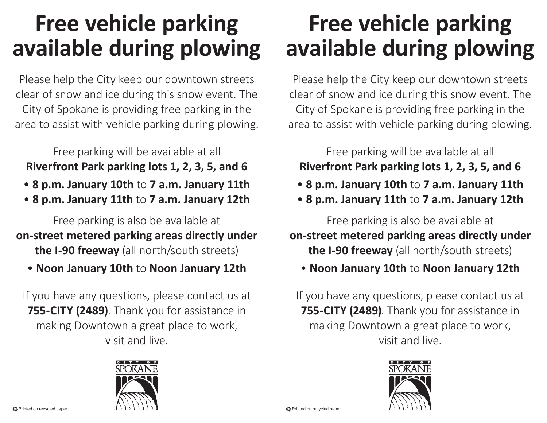## **Free vehicle parking available during plowing**

Please help the City keep our downtown streets clear of snow and ice during this snow event. The City of Spokane is providing free parking in the area to assist with vehicle parking during plowing.

Free parking will be available at all

## **Riverfront Park parking lots 1, 2, 3, 5, and 6**

- **8 p.m. January 10th** to **7 a.m. January 11th**
- **8 p.m. January 11th** to **7 a.m. January 12th**

Free parking is also be available at **on-street metered parking areas directly under the I-90 freeway** (all north/south streets)

• **Noon January 10th** to **Noon January 12th**

If you have any questions, please contact us at **755-CITY (2489)**. Thank you for assistance in making Downtown a great place to work, visit and live.



## **Free vehicle parking available during plowing**

Please help the City keep our downtown streets clear of snow and ice during this snow event. The City of Spokane is providing free parking in the area to assist with vehicle parking during plowing.

Free parking will be available at all

## **Riverfront Park parking lots 1, 2, 3, 5, and 6**

- **8 p.m. January 10th** to **7 a.m. January 11th**
- **8 p.m. January 11th** to **7 a.m. January 12th**

Free parking is also be available at

**on-street metered parking areas directly under the I-90 freeway** (all north/south streets)

• **Noon January 10th** to **Noon January 12th**

If you have any questions, please contact us at **755-CITY (2489)**. Thank you for assistance in making Downtown a great place to work, visit and live.